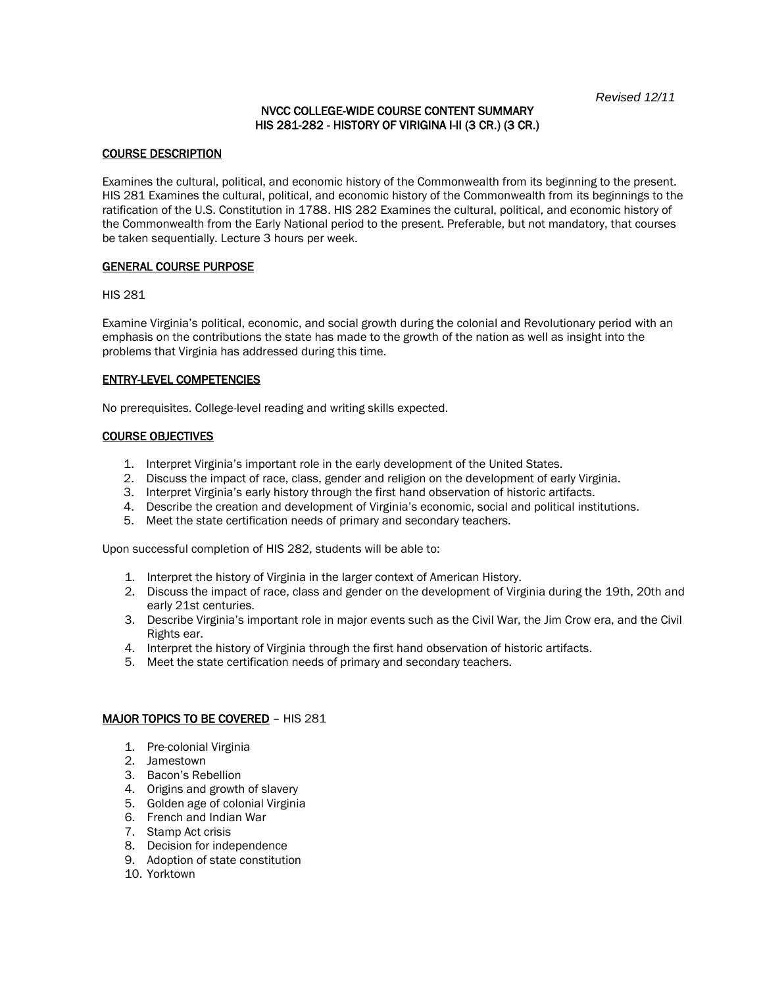## NVCC COLLEGE-WIDE COURSE CONTENT SUMMARY HIS 281-282 - HISTORY OF VIRIGINA I-II (3 CR.) (3 CR.)

## COURSE DESCRIPTION

Examines the cultural, political, and economic history of the Commonwealth from its beginning to the present. HIS 281 Examines the cultural, political, and economic history of the Commonwealth from its beginnings to the ratification of the U.S. Constitution in 1788. HIS 282 Examines the cultural, political, and economic history of the Commonwealth from the Early National period to the present. Preferable, but not mandatory, that courses be taken sequentially. Lecture 3 hours per week.

### GENERAL COURSE PURPOSE

HIS 281

Examine Virginia's political, economic, and social growth during the colonial and Revolutionary period with an emphasis on the contributions the state has made to the growth of the nation as well as insight into the problems that Virginia has addressed during this time.

## ENTRY-LEVEL COMPETENCIES

No prerequisites. College-level reading and writing skills expected.

### COURSE OBJECTIVES

- 1. Interpret Virginia's important role in the early development of the United States.
- 2. Discuss the impact of race, class, gender and religion on the development of early Virginia.
- 3. Interpret Virginia's early history through the first hand observation of historic artifacts.
- 4. Describe the creation and development of Virginia's economic, social and political institutions.
- 5. Meet the state certification needs of primary and secondary teachers.

Upon successful completion of HIS 282, students will be able to:

- 1. Interpret the history of Virginia in the larger context of American History.
- 2. Discuss the impact of race, class and gender on the development of Virginia during the 19th, 20th and early 21st centuries.
- 3. Describe Virginia's important role in major events such as the Civil War, the Jim Crow era, and the Civil Rights ear.
- 4. Interpret the history of Virginia through the first hand observation of historic artifacts.
- 5. Meet the state certification needs of primary and secondary teachers.

#### MAJOR TOPICS TO BE COVERED - HIS 281

- 1. Pre-colonial Virginia
- 2. Jamestown
- 3. Bacon's Rebellion
- 4. Origins and growth of slavery
- 5. Golden age of colonial Virginia
- 6. French and Indian War
- 7. Stamp Act crisis
- 8. Decision for independence
- 9. Adoption of state constitution
- 10. Yorktown